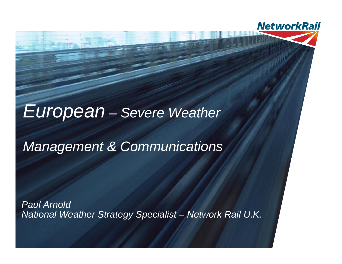### European– Severe Weather

**NetworkRail** 

### Management & Communications

Paul ArnoldNational Weather Strategy Specialist – Network Rail U.K.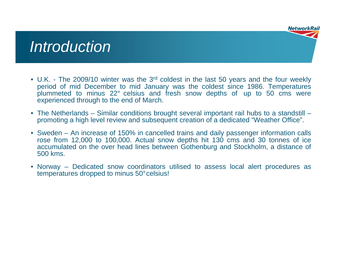## **Introduction**

- U.K. The 2009/10 winter was the 3<sup>rd</sup> coldest in the last 50 years and the four weekly period of mid December to mid January was the coldest since 1986. Temperatures plummeted to minus 22° celsius and fresh snow depths of up to 50 cms were experienced through to the end of March.
- The Netherlands Similar conditions brought several important rail hubs to a standstill –promoting a high level review and subsequent creation of a dedicated "Weather Office".
- Sweden An increase of 150% in cancelled trains and daily passenger information calls rose from 12,000 to 100,000. Actual snow depths hit 130 cms and 30 tonnes of ice accumulated on the over head lines between Gothenburg and Stockholm, a distance of 500 kms.
- Norway Dedicated snow coordinators utilised to assess local alert procedures as temperatures dropped to minus 50°celsius!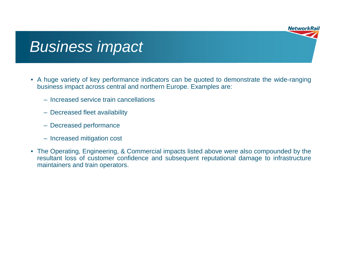# Business impact

- A huge variety of key performance indicators can be quoted to demonstrate the wide-ranging business impact across central and northern Europe. Examples are:
	- Increased service train cancellations
	- Decreased fleet availability
	- Decreased performance
	- Increased mitigation cost
- The Operating, Engineering, & Commercial impacts listed above were also compounded by the resultant loss of customer confidence and subsequent reputational damage to infrastructure maintainers and train operators.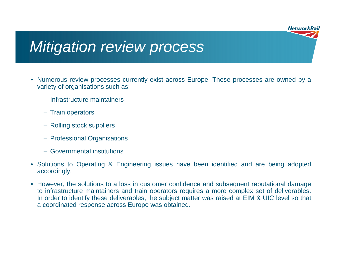# Mitigation review process

- Numerous review processes currently exist across Europe. These processes are owned by a variety of organisations such as:
	- Infrastructure maintainers
	- Train operators
	- Rolling stock suppliers
	- Professional Organisations
	- Governmental institutions
- Solutions to Operating & Engineering issues have been identified and are being adopted accordingly.
- However, the solutions to a loss in customer confidence and subsequent reputational damage to infrastructure maintainers and train operators requires a more complex set of deliverables. In order to identify these deliverables, the subject matter was raised at EIM & UIC level so that a coordinated response across Europe was obtained.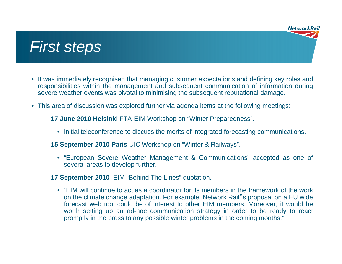### First steps

- It was immediately recognised that managing customer expectations and defining key roles and responsibilities within the management and subsequent communication of information during severe weather events was pivotal to minimising the subsequent reputational damage.
- This area of discussion was explored further via agenda items at the following meetings:
	- **17 June 2010 Helsinki** FTA-EIM Workshop on "Winter Preparedness".
		- Initial teleconference to discuss the merits of integrated forecasting communications.
	- **15 September 2010 Paris** UIC Workshop on "Winter & Railways".
		- "European Severe Weather Management & Communications" accepted as one of several areas to develop further.
	- **17 September 2010** EIM "Behind The Lines" quotation.
		- "EIM will continue to act as a coordinator for its members in the framework of the work on the climate change adaptation. For example, Network Rail"<sup>s</sup> proposal on a EU wide forecast web tool could be of interest to other EIM members. Moreover, it would be worth setting up an ad-hoc communication strategy in order to be ready to react promptly in the press to any possible winter problems in the coming months."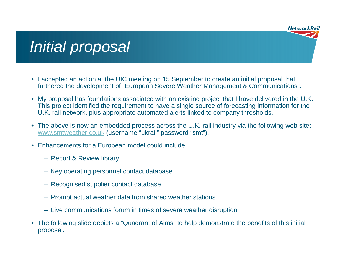# Initial proposal

- I accepted an action at the UIC meeting on 15 September to create an initial proposal that furthered the development of "European Severe Weather Management & Communications".
- My proposal has foundations associated with an existing project that I have delivered in the U.K. This project identified the requirement to have a single source of forecasting information for the U.K. rail network, plus appropriate automated alerts linked to company thresholds.
- The above is now an embedded process across the U.K. rail industry via the following web site: www.smtweather.co.uk (username "ukrail" password "smt").
- Enhancements for a European model could include:
	- Report & Review library
	- Key operating personnel contact database
	- Recognised supplier contact database
	- Prompt actual weather data from shared weather stations
	- Live communications forum in times of severe weather disruption
- The following slide depicts a "Quadrant of Aims" to help demonstrate the benefits of this initial proposal.